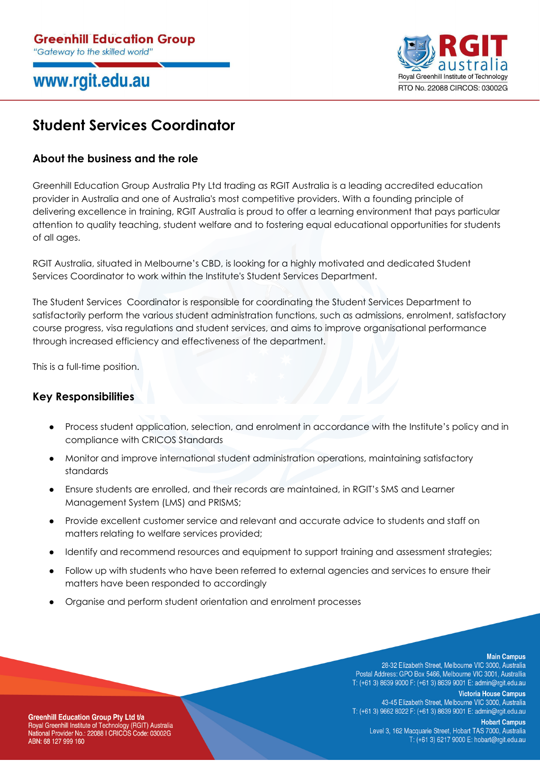# www.rgit.edu.au



# **Student Services Coordinator**

## **About the business and the role**

Greenhill Education Group Australia Pty Ltd trading as RGIT Australia is a leading accredited education provider in Australia and one of Australia's most competitive providers. With a founding principle of delivering excellence in training, RGIT Australia is proud to offer a learning environment that pays particular attention to quality teaching, student welfare and to fostering equal educational opportunities for students of all ages.

RGIT Australia, situated in Melbourne's CBD, is looking for a highly motivated and dedicated Student Services Coordinator to work within the Institute's Student Services Department.

The Student Services Coordinator is responsible for coordinating the Student Services Department to satisfactorily perform the various student administration functions, such as admissions, enrolment, satisfactory course progress, visa regulations and student services, and aims to improve organisational performance through increased efficiency and effectiveness of the department.

This is a full-time position.

## **Key Responsibilities**

- Process student application, selection, and enrolment in accordance with the Institute's policy and in compliance with CRICOS Standards
- Monitor and improve international student administration operations, maintaining satisfactory standards
- Ensure students are enrolled, and their records are maintained, in RGIT's SMS and Learner Management System (LMS) and PRISMS;
- Provide excellent customer service and relevant and accurate advice to students and staff on matters relating to welfare services provided;
- Identify and recommend resources and equipment to support training and assessment strategies;
- Follow up with students who have been referred to external agencies and services to ensure their matters have been responded to accordingly
- Organise and perform student orientation and enrolment processes

### **Main Campus**

28-32 Elizabeth Street, Melbourne VIC 3000, Australia Postal Address: GPO Box 5466, Melbourne VIC 3001, Australlia T: (+61 3) 8639 9000 F: (+61 3) 8639 9001 E: admin@rgit.edu.au

**Victoria House Campus** 

43-45 Elizabeth Street, Melbourne VIC 3000, Australia T: (+61 3) 9662 8022 F: (+61 3) 8639 9001 E: admin@rgit.edu.au

**Hobart Campus** 

Level 3, 162 Macquarie Street, Hobart TAS 7000, Australia T: (+61 3) 6217 9000 E: hobart@rgit.edu.au

**Greenhill Education Group Pty Ltd t/a** Encyclopedial Institute of Technology (RGIT) Australia<br>National Provider No.: 22088 I CRICOS Code: 03002G ABN: 68 127 999 160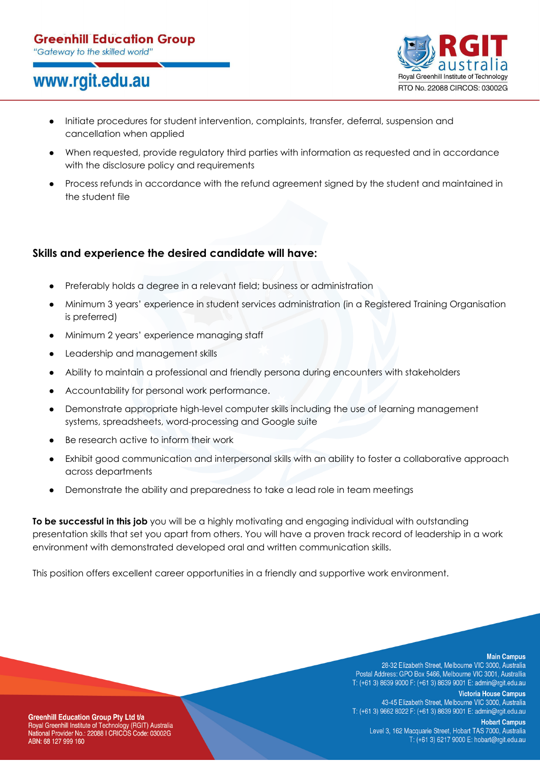## **Greenhill Education Group**

"Gateway to the skilled world"

# www.rgit.edu.au



- Initiate procedures for student intervention, complaints, transfer, deferral, suspension and cancellation when applied
- When requested, provide regulatory third parties with information as requested and in accordance with the disclosure policy and requirements
- Process refunds in accordance with the refund agreement signed by the student and maintained in the student file

## **Skills and experience the desired candidate will have:**

- Preferably holds a degree in a relevant field; business or administration
- Minimum 3 years' experience in student services administration (in a Registered Training Organisation is preferred)
- Minimum 2 years' experience managing staff
- Leadership and management skills
- Ability to maintain a professional and friendly persona during encounters with stakeholders
- Accountability for personal work performance.
- Demonstrate appropriate high-level computer skills including the use of learning management systems, spreadsheets, word-processing and Google suite
- Be research active to inform their work
- Exhibit good communication and interpersonal skills with an ability to foster a collaborative approach across departments
- Demonstrate the ability and preparedness to take a lead role in team meetings

**To be successful in this job** you will be a highly motivating and engaging individual with outstanding presentation skills that set you apart from others. You will have a proven track record of leadership in a work environment with demonstrated developed oral and written communication skills.

This position offers excellent career opportunities in a friendly and supportive work environment.

### **Main Campus**

28-32 Elizabeth Street, Melbourne VIC 3000, Australia Postal Address: GPO Box 5466, Melbourne VIC 3001, Australlia T: (+61 3) 8639 9000 F: (+61 3) 8639 9001 E: admin@rgit.edu.au

**Victoria House Campus** 

43-45 Elizabeth Street, Melbourne VIC 3000, Australia T: (+61 3) 9662 8022 F: (+61 3) 8639 9001 E: admin@rgit.edu.au

**Hobart Campus** 

Level 3, 162 Macquarie Street, Hobart TAS 7000, Australia T: (+61 3) 6217 9000 E: hobart@rgit.edu.au

**Greenhill Education Group Pty Ltd t/a** Royal Greenhill Institute of Technology (RGIT) Australia<br>National Provider No.: 22088 I CRICOS Code: 03002G ABN: 68 127 999 160